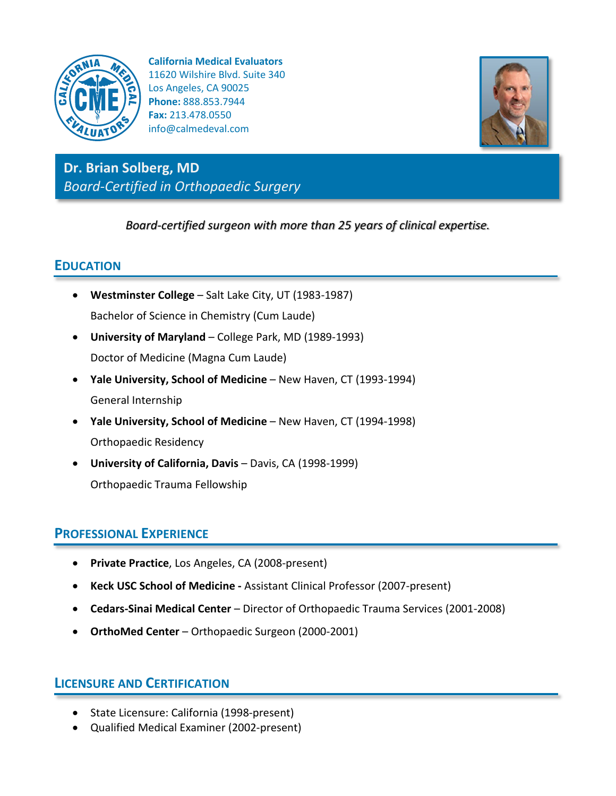

**California Medical Evaluators** 11620 Wilshire Blvd. Suite 340 Los Angeles, CA 90025 **Phone:** 888.853.7944 **Fax:** 213.478.0550 info@calmedeval.com



**Dr. Brian Solberg, MD** *Board-Certified in Orthopaedic Surgery*

*Board-certified surgeon with more than 25 years of clinical expertise.*

## **EDUCATION**

- **Westminster College** Salt Lake City, UT (1983-1987) Bachelor of Science in Chemistry (Cum Laude)
- **University of Maryland**  College Park, MD (1989-1993) Doctor of Medicine (Magna Cum Laude)
- **Yale University, School of Medicine**  New Haven, CT (1993-1994) General Internship
- **Yale University, School of Medicine**  New Haven, CT (1994-1998) Orthopaedic Residency
- **University of California, Davis**  Davis, CA (1998-1999) Orthopaedic Trauma Fellowship

## **PROFESSIONAL EXPERIENCE**

- **Private Practice**, Los Angeles, CA (2008-present)
- **Keck USC School of Medicine -** Assistant Clinical Professor (2007-present)
- **Cedars-Sinai Medical Center**  Director of Orthopaedic Trauma Services (2001-2008)
- **OrthoMed Center** Orthopaedic Surgeon (2000-2001)

# **LICENSURE AND CERTIFICATION**

- State Licensure: California (1998-present)
- Qualified Medical Examiner (2002-present)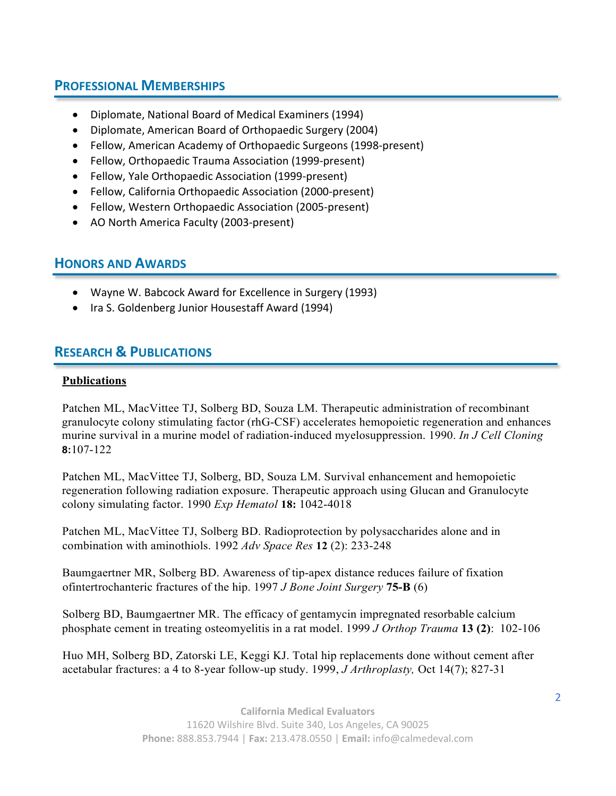### **PROFESSIONAL MEMBERSHIPS**

- Diplomate, National Board of Medical Examiners (1994)
- Diplomate, American Board of Orthopaedic Surgery (2004)
- Fellow, American Academy of Orthopaedic Surgeons (1998-present)
- Fellow, Orthopaedic Trauma Association (1999-present)
- Fellow, Yale Orthopaedic Association (1999-present)
- Fellow, California Orthopaedic Association (2000-present)
- Fellow, Western Orthopaedic Association (2005-present)
- AO North America Faculty (2003-present)

### **HONORS AND AWARDS**

- Wayne W. Babcock Award for Excellence in Surgery (1993)
- Ira S. Goldenberg Junior Housestaff Award (1994)

# **RESEARCH & PUBLICATIONS**

#### **Publications**

Patchen ML, MacVittee TJ, Solberg BD, Souza LM. Therapeutic administration of recombinant granulocyte colony stimulating factor (rhG-CSF) accelerates hemopoietic regeneration and enhances murine survival in a murine model of radiation-induced myelosuppression. 1990. *In J Cell Cloning*  **8:**107-122

Patchen ML, MacVittee TJ, Solberg, BD, Souza LM. Survival enhancement and hemopoietic regeneration following radiation exposure. Therapeutic approach using Glucan and Granulocyte colony simulating factor. 1990 *Exp Hematol* **18:** 1042-4018

Patchen ML, MacVittee TJ, Solberg BD. Radioprotection by polysaccharides alone and in combination with aminothiols. 1992 *Adv Space Res* **12** (2): 233-248

Baumgaertner MR, Solberg BD. Awareness of tip-apex distance reduces failure of fixation ofintertrochanteric fractures of the hip. 1997 *J Bone Joint Surgery* **75-B** (6)

Solberg BD, Baumgaertner MR. The efficacy of gentamycin impregnated resorbable calcium phosphate cement in treating osteomyelitis in a rat model. 1999 *J Orthop Trauma* **13 (2)**: 102-106

Huo MH, Solberg BD, Zatorski LE, Keggi KJ. Total hip replacements done without cement after acetabular fractures: a 4 to 8-year follow-up study. 1999, *J Arthroplasty,* Oct 14(7); 827-31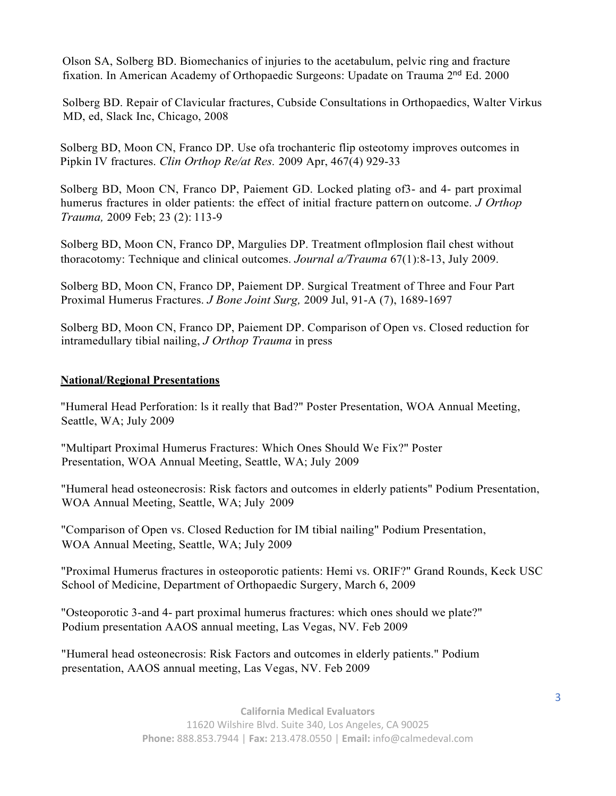Olson SA, Solberg BD. Biomechanics of injuries to the acetabulum, pelvic ring and fracture fixation. In American Academy of Orthopaedic Surgeons: Upadate on Trauma 2nd Ed. 2000

Solberg BD. Repair of Clavicular fractures, Cubside Consultations in Orthopaedics, Walter Virkus MD, ed, Slack Inc, Chicago, 2008

Solberg BD, Moon CN, Franco DP. Use ofa trochanteric flip osteotomy improves outcomes in Pipkin IV fractures. *Clin Orthop Re/at Res.* 2009 Apr, 467(4) 929-33

Solberg BD, Moon CN, Franco DP, Paiement GD. Locked plating of3- and 4- part proximal humerus fractures in older patients: the effect of initial fracture pattern on outcome. *J Orthop Trauma,* 2009 Feb; 23 (2): 113-9

Solberg BD, Moon CN, Franco DP, Margulies DP. Treatment oflmplosion flail chest without thoracotomy: Technique and clinical outcomes. *Journal a/Trauma* 67(1):8-13, July 2009.

Solberg BD, Moon CN, Franco DP, Paiement DP. Surgical Treatment of Three and Four Part Proximal Humerus Fractures. *J Bone Joint Surg,* 2009 Jul, 91-A (7), 1689-1697

Solberg BD, Moon CN, Franco DP, Paiement DP. Comparison of Open vs. Closed reduction for intramedullary tibial nailing, *J Orthop Trauma* in press

#### **National/Regional Presentations**

"Humeral Head Perforation: ls it really that Bad?" Poster Presentation, WOA Annual Meeting, Seattle, WA; July 2009

"Multipart Proximal Humerus Fractures: Which Ones Should We Fix?" Poster Presentation, WOA Annual Meeting, Seattle, WA; July 2009

"Humeral head osteonecrosis: Risk factors and outcomes in elderly patients" Podium Presentation, WOA Annual Meeting, Seattle, WA; July 2009

"Comparison of Open vs. Closed Reduction for IM tibial nailing" Podium Presentation, WOA Annual Meeting, Seattle, WA; July 2009

"Proximal Humerus fractures in osteoporotic patients: Hemi vs. ORIF?" Grand Rounds, Keck USC School of Medicine, Department of Orthopaedic Surgery, March 6, 2009

"Osteoporotic 3-and 4- part proximal humerus fractures: which ones should we plate?" Podium presentation AAOS annual meeting, Las Vegas, NV. Feb 2009

"Humeral head osteonecrosis: Risk Factors and outcomes in elderly patients." Podium presentation, AAOS annual meeting, Las Vegas, NV. Feb 2009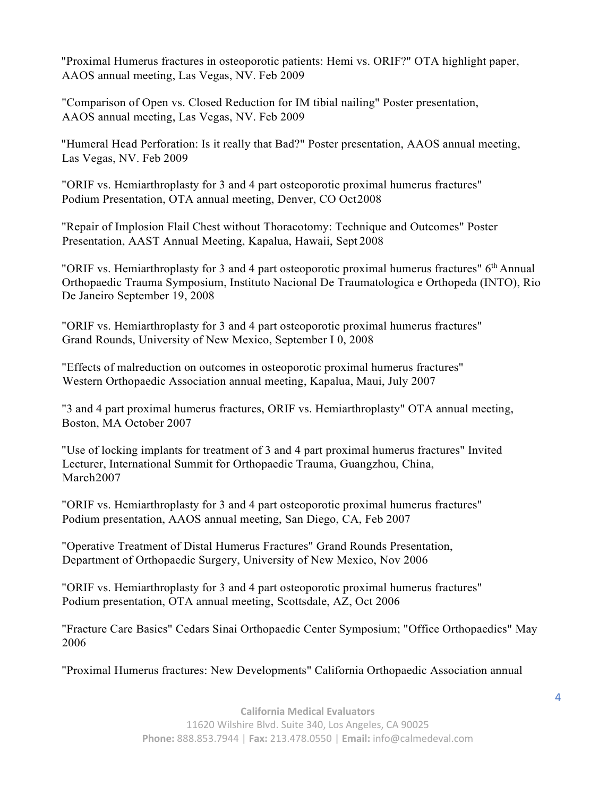"Proximal Humerus fractures in osteoporotic patients: Hemi vs. ORIF?" OTA highlight paper, AAOS annual meeting, Las Vegas, NV. Feb 2009

"Comparison of Open vs. Closed Reduction for IM tibial nailing" Poster presentation, AAOS annual meeting, Las Vegas, NV. Feb 2009

"Humeral Head Perforation: Is it really that Bad?" Poster presentation, AAOS annual meeting, Las Vegas, NV. Feb 2009

"ORIF vs. Hemiarthroplasty for 3 and 4 part osteoporotic proximal humerus fractures" Podium Presentation, OTA annual meeting, Denver, CO Oct2008

"Repair of Implosion Flail Chest without Thoracotomy: Technique and Outcomes" Poster Presentation, AAST Annual Meeting, Kapalua, Hawaii, Sept 2008

"ORIF vs. Hemiarthroplasty for 3 and 4 part osteoporotic proximal humerus fractures"  $6<sup>th</sup>$  Annual Orthopaedic Trauma Symposium, Instituto Nacional De Traumatologica e Orthopeda (INTO), Rio De Janeiro September 19, 2008

"ORIF vs. Hemiarthroplasty for 3 and 4 part osteoporotic proximal humerus fractures" Grand Rounds, University of New Mexico, September I 0, 2008

"Effects of malreduction on outcomes in osteoporotic proximal humerus fractures" Western Orthopaedic Association annual meeting, Kapalua, Maui, July 2007

"3 and 4 part proximal humerus fractures, ORIF vs. Hemiarthroplasty" OTA annual meeting, Boston, MA October 2007

"Use of locking implants for treatment of 3 and 4 part proximal humerus fractures" Invited Lecturer, International Summit for Orthopaedic Trauma, Guangzhou, China, March2007

"ORIF vs. Hemiarthroplasty for 3 and 4 part osteoporotic proximal humerus fractures" Podium presentation, AAOS annual meeting, San Diego, CA, Feb 2007

"Operative Treatment of Distal Humerus Fractures" Grand Rounds Presentation, Department of Orthopaedic Surgery, University of New Mexico, Nov 2006

"ORIF vs. Hemiarthroplasty for 3 and 4 part osteoporotic proximal humerus fractures" Podium presentation, OTA annual meeting, Scottsdale, AZ, Oct 2006

"Fracture Care Basics" Cedars Sinai Orthopaedic Center Symposium; "Office Orthopaedics" May 2006

"Proximal Humerus fractures: New Developments" California Orthopaedic Association annual